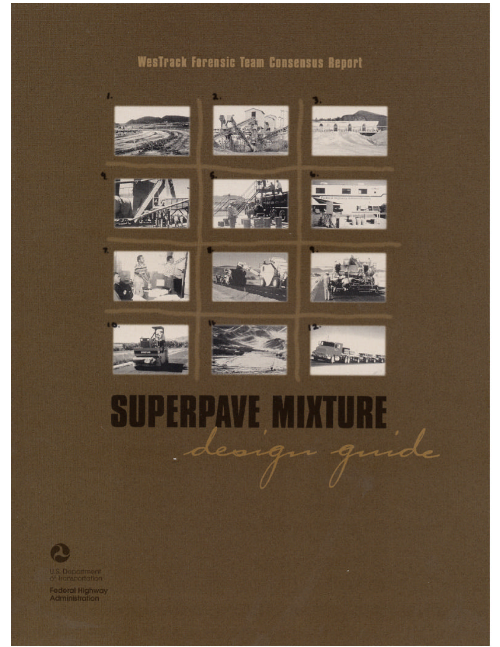# Westrack Forensic Team Consensus Report







a.

۹







U.S. Department

Federal Highway<br>Administration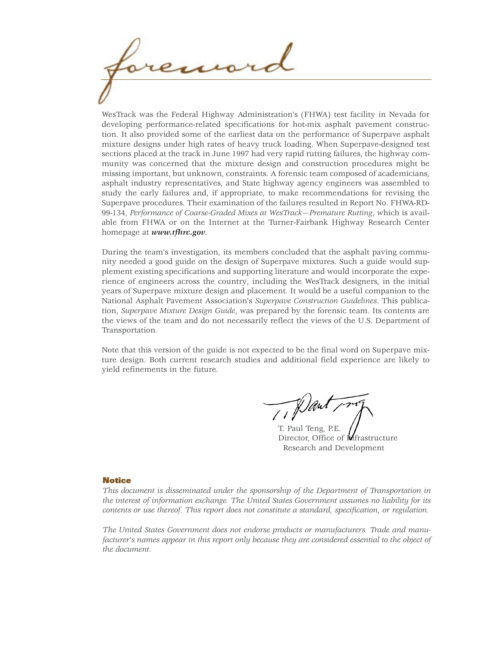WesTrack was the Federal Highway Administration's (FHWA) test facility in Nevada for developing performance-related specifications for hot-mix asphalt pavement construction. It also provided some of the earliest data on the performance of Superpave asphalt mixture designs under high rates of heavy truck loading. When Superpave-designed test sections placed at the track in June 1997 had very rapid rutting failures, the highway community was concerned that the mixture design and construction procedures might be missing important, but unknown, constraints. A forensic team composed of academicians, asphalt industry representatives, and State highway agency engineers was assembled to study the early failures and, if appropriate, to make recommendations for revising the Superpave procedures. Their examination of the failures resulted in Report No. FHWA-RD-99-134, *Performance of Coarse-Graded Mixes at WesTrack—Premature Rutting*, which is available from FHWA or on the Internet at the Turner-Fairbank Highway Research Center homepage at *www.tfhrc.gov*.

During the team's investigation, its members concluded that the asphalt paving community needed a good guide on the design of Superpave mixtures. Such a guide would supplement existing specifications and supporting literature and would incorporate the experience of engineers across the country, including the WesTrack designers, in the initial years of Superpave mixture design and placement. It would be a useful companion to the National Asphalt Pavement Association's *Superpave Construction Guidelines*. This publication, *Superpave Mixture Design Guide*, was prepared by the forensic team. Its contents are the views of the team and do not necessarily reflect the views of the U.S. Department of Transportation.

Note that this version of the guide is not expected to be the final word on Superpave mixture design. Both current research studies and additional field experience are likely to yield refinements in the future.

Dant

T. Paul Teng, P.E. Director, Office of **M**frastructure Research and Development

## **Notice**

*This document is disseminated under the sponsorship of the Department of Transportation in the interest of information exchange. The United States Government assumes no liability for its contents or use thereof. This report does not constitute a standard, specification, or regulation.*

*The United States Government does not endorse products or manufacturers. Trade and manufacturer's names appear in this report only because they are considered essential to the object of the document.*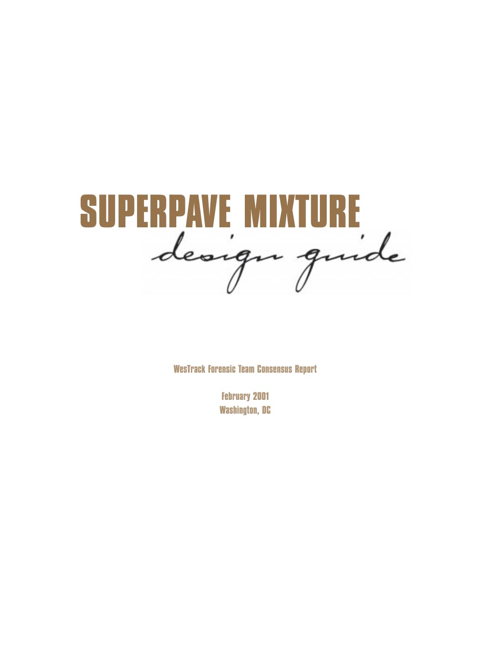

**WesTrack Forensic Team Consensus Report**

**February 2001 Washington, DC**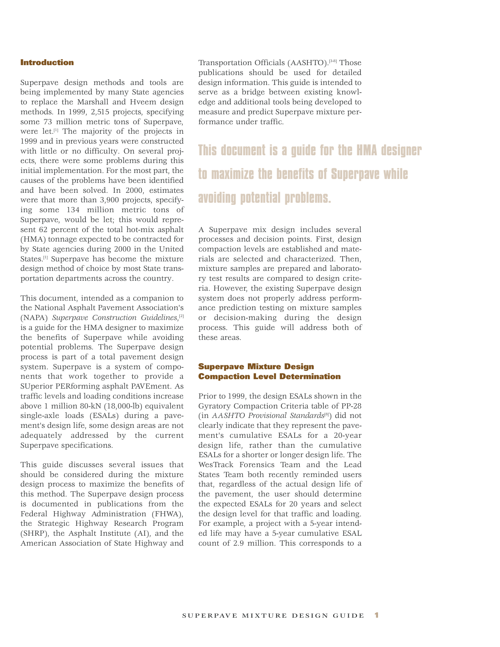## **Introduction**

Superpave design methods and tools are being implemented by many State agencies to replace the Marshall and Hveem design methods. In 1999, 2,515 projects, specifying some 73 million metric tons of Superpave, were let.[1] The majority of the projects in 1999 and in previous years were constructed with little or no difficulty. On several projects, there were some problems during this initial implementation. For the most part, the causes of the problems have been identified and have been solved. In 2000, estimates were that more than 3,900 projects, specifying some 134 million metric tons of Superpave, would be let; this would represent 62 percent of the total hot-mix asphalt (HMA) tonnage expected to be contracted for by State agencies during 2000 in the United States.<sup>[1]</sup> Superpave has become the mixture design method of choice by most State transportation departments across the country.

This document, intended as a companion to the National Asphalt Pavement Association's (NAPA) *Superpave Construction Guidelines*, [2] is a guide for the HMA designer to maximize the benefits of Superpave while avoiding potential problems. The Superpave design process is part of a total pavement design system. Superpave is a system of components that work together to provide a SUperior PERforming asphalt PAVEment. As traffic levels and loading conditions increase above 1 million 80-kN (18,000-lb) equivalent single-axle loads (ESALs) during a pavement's design life, some design areas are not adequately addressed by the current Superpave specifications.

This guide discusses several issues that should be considered during the mixture design process to maximize the benefits of this method. The Superpave design process is documented in publications from the Federal Highway Administration (FHWA), the Strategic Highway Research Program (SHRP), the Asphalt Institute (AI), and the American Association of State Highway and Transportation Officials (AASHTO).[3-8] Those publications should be used for detailed design information. This guide is intended to serve as a bridge between existing knowledge and additional tools being developed to measure and predict Superpave mixture performance under traffic.

**This document is a guide for the HMA designer to maximize the benefits of Superpave while avoiding potential problems.** 

A Superpave mix design includes several processes and decision points. First, design compaction levels are established and materials are selected and characterized. Then, mixture samples are prepared and laboratory test results are compared to design criteria. However, the existing Superpave design system does not properly address performance prediction testing on mixture samples or decision-making during the design process. This guide will address both of these areas.

## **Superpave Mixture Design Compaction Level Determination**

Prior to 1999, the design ESALs shown in the Gyratory Compaction Criteria table of PP-28 (in *AASHTO Provisional Standards*[8]) did not clearly indicate that they represent the pavement's cumulative ESALs for a 20-year design life, rather than the cumulative ESALs for a shorter or longer design life. The WesTrack Forensics Team and the Lead States Team both recently reminded users that, regardless of the actual design life of the pavement, the user should determine the expected ESALs for 20 years and select the design level for that traffic and loading. For example, a project with a 5-year intended life may have a 5-year cumulative ESAL count of 2.9 million. This corresponds to a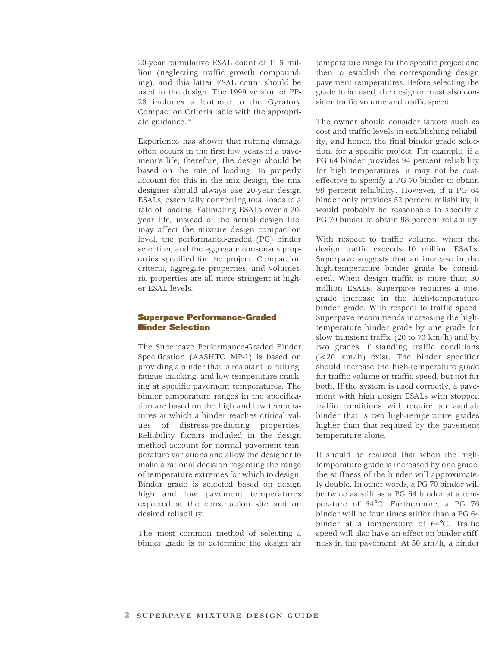20-year cumulative ESAL count of 11.6 million (neglecting traffic growth compounding), and this latter ESAL count should be used in the design. The 1999 version of PP-28 includes a footnote to the Gyratory Compaction Criteria table with the appropriate guidance. [8]

Experience has shown that rutting damage often occurs in the first few years of a pavement's life; therefore, the design should be based on the rate of loading. To properly account for this in the mix design, the mix designer should always use 20-year design ESALs, essentially converting total loads to a rate of loading. Estimating ESALs over a 20 year life, instead of the actual design life, may affect the mixture design compaction level, the performance-graded (PG) binder selection, and the aggregate consensus properties specified for the project. Compaction criteria, aggregate properties, and volumetric properties are all more stringent at higher ESAL levels.

## **Superpave Performance-Graded Binder Selection**

The Superpave Performance-Graded Binder Specification (AASHTO MP-1) is based on providing a binder that is resistant to rutting, fatigue cracking, and low-temperature cracking at specific pavement temperatures. The binder temperature ranges in the specification are based on the high and low temperatures at which a binder reaches critical values of distress-predicting properties. Reliability factors included in the design method account for normal pavement temperature variations and allow the designer to make a rational decision regarding the range of temperature extremes for which to design. Binder grade is selected based on design high and low pavement temperatures expected at the construction site and on desired reliability.

The most common method of selecting a binder grade is to determine the design air

temperature range for the specific project and then to establish the corresponding design pavement temperatures. Before selecting the grade to be used, the designer must also consider traffic volume and traffic speed.

The owner should consider factors such as cost and traffic levels in establishing reliability, and hence, the final binder grade selection, for a specific project. For example, if a PG 64 binder provides 94 percent reliability for high temperatures, it may not be costeffective to specify a PG 70 binder to obtain 98 percent reliability. However, if a PG 64 binder only provides 52 percent reliability, it would probably be reasonable to specify a PG 70 binder to obtain 98 percent reliability.

With respect to traffic volume, when the design traffic exceeds 10 million ESALs, Superpave suggests that an increase in the high-temperature binder grade be considered. When design traffic is more than 30 million ESALs, Superpave requires a onegrade increase in the high-temperature binder grade. With respect to traffic speed, Superpave recommends increasing the hightemperature binder grade by one grade for slow transient traffic (20 to 70 km/h) and by two grades if standing traffic conditions (<20 km/h) exist. The binder specifier should increase the high-temperature grade for traffic volume or traffic speed, but not for both. If the system is used correctly, a pavement with high design ESALs with stopped traffic conditions will require an asphalt binder that is two high-temperature grades higher than that required by the pavement temperature alone.

It should be realized that when the hightemperature grade is increased by one grade, the stiffness of the binder will approximately double. In other words, a PG 70 binder will be twice as stiff as a PG 64 binder at a temperature of 64°C. Furthermore, a PG 76 binder will be four times stiffer than a PG 64 binder at a temperature of 64°C. Traffic speed will also have an effect on binder stiffness in the pavement. At 50 km/h, a binder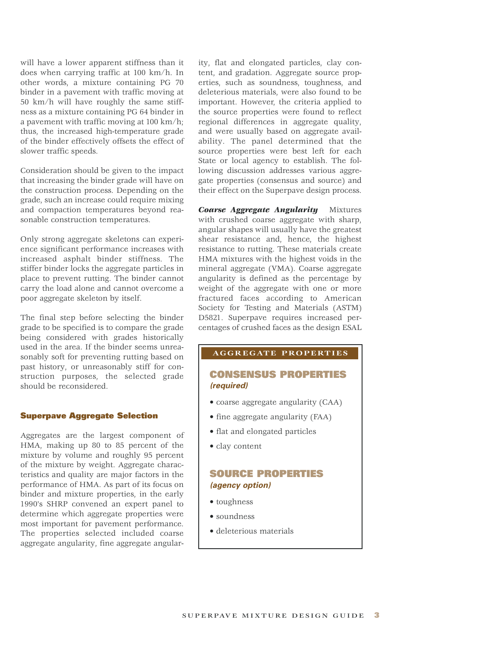will have a lower apparent stiffness than it does when carrying traffic at 100 km/h. In other words, a mixture containing PG 70 binder in a pavement with traffic moving at 50 km/h will have roughly the same stiffness as a mixture containing PG 64 binder in a pavement with traffic moving at 100 km/h; thus, the increased high-temperature grade of the binder effectively offsets the effect of slower traffic speeds.

Consideration should be given to the impact that increasing the binder grade will have on the construction process. Depending on the grade, such an increase could require mixing and compaction temperatures beyond reasonable construction temperatures.

Only strong aggregate skeletons can experience significant performance increases with increased asphalt binder stiffness. The stiffer binder locks the aggregate particles in place to prevent rutting. The binder cannot carry the load alone and cannot overcome a poor aggregate skeleton by itself.

The final step before selecting the binder grade to be specified is to compare the grade being considered with grades historically used in the area. If the binder seems unreasonably soft for preventing rutting based on past history, or unreasonably stiff for construction purposes, the selected grade should be reconsidered.

## **Superpave Aggregate Selection**

Aggregates are the largest component of HMA, making up 80 to 85 percent of the mixture by volume and roughly 95 percent of the mixture by weight. Aggregate characteristics and quality are major factors in the performance of HMA. As part of its focus on binder and mixture properties, in the early 1990's SHRP convened an expert panel to determine which aggregate properties were most important for pavement performance. The properties selected included coarse aggregate angularity, fine aggregate angular-

ity, flat and elongated particles, clay content, and gradation. Aggregate source properties, such as soundness, toughness, and deleterious materials, were also found to be important. However, the criteria applied to the source properties were found to reflect regional differences in aggregate quality, and were usually based on aggregate availability. The panel determined that the source properties were best left for each State or local agency to establish. The following discussion addresses various aggregate properties (consensus and source) and their effect on the Superpave design process.

*Coarse Aggregate Angularity* Mixtures with crushed coarse aggregate with sharp, angular shapes will usually have the greatest shear resistance and, hence, the highest resistance to rutting. These materials create HMA mixtures with the highest voids in the mineral aggregate (VMA). Coarse aggregate angularity is defined as the percentage by weight of the aggregate with one or more fractured faces according to American Society for Testing and Materials (ASTM) D5821. Superpave requires increased percentages of crushed faces as the design ESAL

## **AGGREGATE PROPERTIES**

## **CONSENSUS PROPERTIES (required)**

- coarse aggregate angularity (CAA)
- fine aggregate angularity (FAA)
- flat and elongated particles
- clay content

## **SOURCE PROPERTIES (agency option)**

- toughness
- soundness
- deleterious materials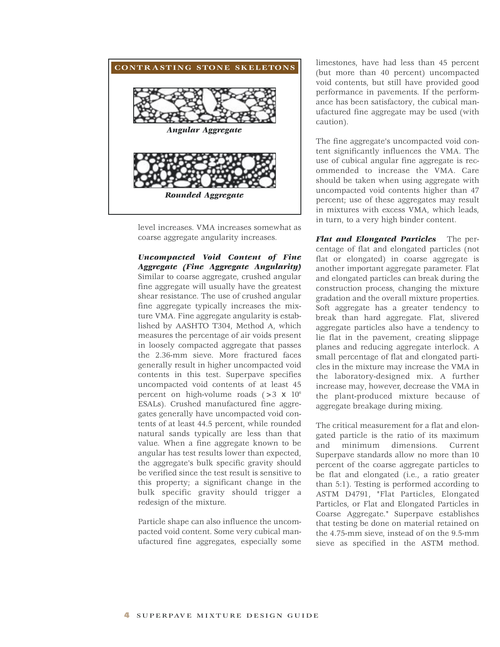

level increases. VMA increases somewhat as coarse aggregate angularity increases.

*Uncompacted Void Content of Fine Aggregate (Fine Aggregate Angularity)* Similar to coarse aggregate, crushed angular fine aggregate will usually have the greatest shear resistance. The use of crushed angular fine aggregate typically increases the mixture VMA. Fine aggregate angularity is established by AASHTO T304, Method A, which measures the percentage of air voids present in loosely compacted aggregate that passes the 2.36-mm sieve. More fractured faces generally result in higher uncompacted void contents in this test. Superpave specifies uncompacted void contents of at least 45 percent on high-volume roads  $(>3 \times 10^6$ ESALs). Crushed manufactured fine aggregates generally have uncompacted void contents of at least 44.5 percent, while rounded natural sands typically are less than that value. When a fine aggregate known to be angular has test results lower than expected, the aggregate's bulk specific gravity should be verified since the test result is sensitive to this property; a significant change in the bulk specific gravity should trigger a redesign of the mixture.

Particle shape can also influence the uncompacted void content. Some very cubical manufactured fine aggregates, especially some

limestones, have had less than 45 percent (but more than 40 percent) uncompacted void contents, but still have provided good performance in pavements. If the performance has been satisfactory, the cubical manufactured fine aggregate may be used (with caution).

The fine aggregate's uncompacted void content significantly influences the VMA. The use of cubical angular fine aggregate is recommended to increase the VMA. Care should be taken when using aggregate with uncompacted void contents higher than 47 percent; use of these aggregates may result in mixtures with excess VMA, which leads, in turn, to a very high binder content.

*Flat and Elongated Particles* The percentage of flat and elongated particles (not flat or elongated) in coarse aggregate is another important aggregate parameter. Flat and elongated particles can break during the construction process, changing the mixture gradation and the overall mixture properties. Soft aggregate has a greater tendency to break than hard aggregate. Flat, slivered aggregate particles also have a tendency to lie flat in the pavement, creating slippage planes and reducing aggregate interlock. A small percentage of flat and elongated particles in the mixture may increase the VMA in the laboratory-designed mix. A further increase may, however, decrease the VMA in the plant-produced mixture because of aggregate breakage during mixing.

The critical measurement for a flat and elongated particle is the ratio of its maximum and minimum dimensions. Current Superpave standards allow no more than 10 percent of the coarse aggregate particles to be flat and elongated (i.e., a ratio greater than 5:1). Testing is performed according to ASTM D4791, "Flat Particles, Elongated Particles, or Flat and Elongated Particles in Coarse Aggregate." Superpave establishes that testing be done on material retained on the 4.75-mm sieve, instead of on the 9.5-mm sieve as specified in the ASTM method.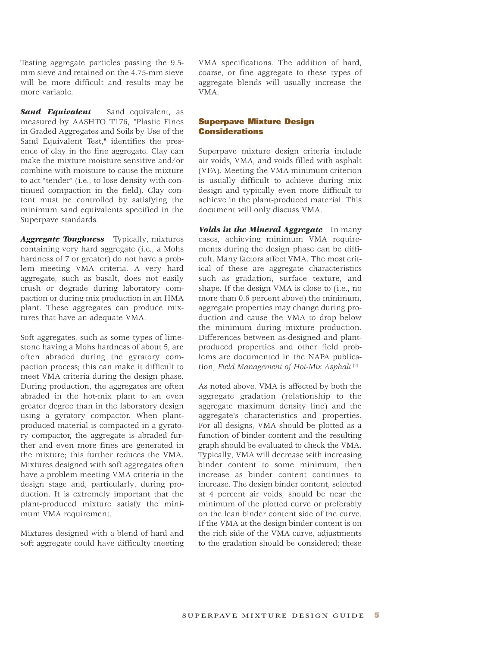Testing aggregate particles passing the 9.5 mm sieve and retained on the 4.75-mm sieve will be more difficult and results may be more variable.

**Sand Equivalent** Sand equivalent, as measured by AASHTO T176, "Plastic Fines in Graded Aggregates and Soils by Use of the Sand Equivalent Test," identifies the presence of clay in the fine aggregate. Clay can make the mixture moisture sensitive and/or combine with moisture to cause the mixture to act "tender" (i.e., to lose density with continued compaction in the field). Clay content must be controlled by satisfying the minimum sand equivalents specified in the Superpave standards.

*Aggregate Toughness* Typically, mixtures containing very hard aggregate (i.e., a Mohs hardness of 7 or greater) do not have a problem meeting VMA criteria. A very hard aggregate, such as basalt, does not easily crush or degrade during laboratory compaction or during mix production in an HMA plant. These aggregates can produce mixtures that have an adequate VMA.

Soft aggregates, such as some types of limestone having a Mohs hardness of about 5, are often abraded during the gyratory compaction process; this can make it difficult to meet VMA criteria during the design phase. During production, the aggregates are often abraded in the hot-mix plant to an even greater degree than in the laboratory design using a gyratory compactor. When plantproduced material is compacted in a gyratory compactor, the aggregate is abraded further and even more fines are generated in the mixture; this further reduces the VMA. Mixtures designed with soft aggregates often have a problem meeting VMA criteria in the design stage and, particularly, during production. It is extremely important that the plant-produced mixture satisfy the minimum VMA requirement.

Mixtures designed with a blend of hard and soft aggregate could have difficulty meeting VMA specifications. The addition of hard, coarse, or fine aggregate to these types of aggregate blends will usually increase the VMA.

## **Superpave Mixture Design Considerations**

Superpave mixture design criteria include air voids, VMA, and voids filled with asphalt (VFA). Meeting the VMA minimum criterion is usually difficult to achieve during mix design and typically even more difficult to achieve in the plant-produced material. This document will only discuss VMA.

*Voids in the Mineral Aggregate* In many cases, achieving minimum VMA requirements during the design phase can be difficult. Many factors affect VMA. The most critical of these are aggregate characteristics such as gradation, surface texture, and shape. If the design VMA is close to (i.e., no more than 0.6 percent above) the minimum, aggregate properties may change during production and cause the VMA to drop below the minimum during mixture production. Differences between as-designed and plantproduced properties and other field problems are documented in the NAPA publication, *Field Management of Hot-Mix Asphalt.*[9]

As noted above, VMA is affected by both the aggregate gradation (relationship to the aggregate maximum density line) and the aggregate's characteristics and properties. For all designs, VMA should be plotted as a function of binder content and the resulting graph should be evaluated to check the VMA. Typically, VMA will decrease with increasing binder content to some minimum, then increase as binder content continues to increase. The design binder content, selected at 4 percent air voids, should be near the minimum of the plotted curve or preferably on the lean binder content side of the curve. If the VMA at the design binder content is on the rich side of the VMA curve, adjustments to the gradation should be considered; these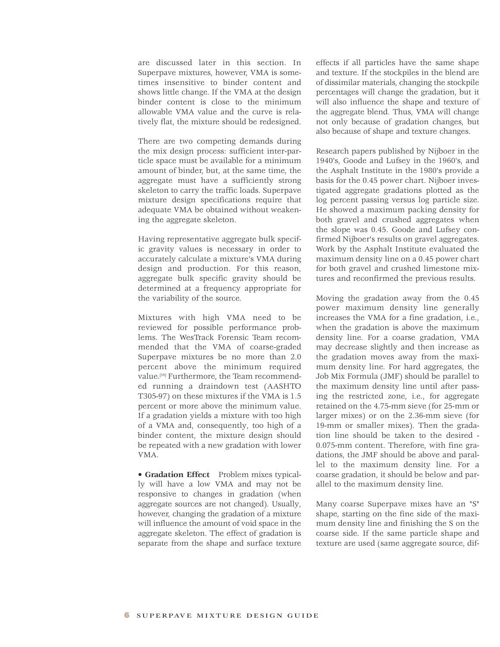are discussed later in this section. In Superpave mixtures, however, VMA is sometimes insensitive to binder content and shows little change. If the VMA at the design binder content is close to the minimum allowable VMA value and the curve is relatively flat, the mixture should be redesigned.

There are two competing demands during the mix design process: sufficient inter-particle space must be available for a minimum amount of binder, but, at the same time, the aggregate must have a sufficiently strong skeleton to carry the traffic loads. Superpave mixture design specifications require that adequate VMA be obtained without weakening the aggregate skeleton.

Having representative aggregate bulk specific gravity values is necessary in order to accurately calculate a mixture's VMA during design and production. For this reason, aggregate bulk specific gravity should be determined at a frequency appropriate for the variability of the source.

Mixtures with high VMA need to be reviewed for possible performance problems. The WesTrack Forensic Team recommended that the VMA of coarse-graded Superpave mixtures be no more than 2.0 percent above the minimum required value. [10] Furthermore, the Team recommended running a draindown test (AASHTO T305-97) on these mixtures if the VMA is 1.5 percent or more above the minimum value. If a gradation yields a mixture with too high of a VMA and, consequently, too high of a binder content, the mixture design should be repeated with a new gradation with lower VMA.

**• Gradation Effect** Problem mixes typically will have a low VMA and may not be responsive to changes in gradation (when aggregate sources are not changed). Usually, however, changing the gradation of a mixture will influence the amount of void space in the aggregate skeleton. The effect of gradation is separate from the shape and surface texture

effects if all particles have the same shape and texture. If the stockpiles in the blend are of dissimilar materials, changing the stockpile percentages will change the gradation, but it will also influence the shape and texture of the aggregate blend. Thus, VMA will change not only because of gradation changes, but also because of shape and texture changes.

Research papers published by Nijboer in the 1940's, Goode and Lufsey in the 1960's, and the Asphalt Institute in the 1980's provide a basis for the 0.45 power chart. Nijboer investigated aggregate gradations plotted as the log percent passing versus log particle size. He showed a maximum packing density for both gravel and crushed aggregates when the slope was 0.45. Goode and Lufsey confirmed Nijboer's results on gravel aggregates. Work by the Asphalt Institute evaluated the maximum density line on a 0.45 power chart for both gravel and crushed limestone mixtures and reconfirmed the previous results.

Moving the gradation away from the 0.45 power maximum density line generally increases the VMA for a fine gradation, i.e., when the gradation is above the maximum density line. For a coarse gradation, VMA may decrease slightly and then increase as the gradation moves away from the maximum density line. For hard aggregates, the Job Mix Formula (JMF) should be parallel to the maximum density line until after passing the restricted zone, i.e., for aggregate retained on the 4.75-mm sieve (for 25-mm or larger mixes) or on the 2.36-mm sieve (for 19-mm or smaller mixes). Then the gradation line should be taken to the desired - 0.075-mm content. Therefore, with fine gradations, the JMF should be above and parallel to the maximum density line. For a coarse gradation, it should be below and parallel to the maximum density line.

Many coarse Superpave mixes have an "S" shape, starting on the fine side of the maximum density line and finishing the S on the coarse side. If the same particle shape and texture are used (same aggregate source, dif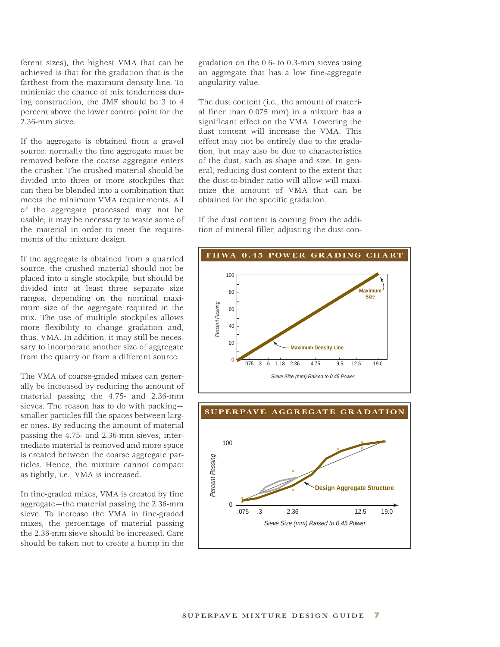ferent sizes), the highest VMA that can be achieved is that for the gradation that is the farthest from the maximum density line. To minimize the chance of mix tenderness during construction, the JMF should be 3 to 4 percent above the lower control point for the 2.36-mm sieve.

If the aggregate is obtained from a gravel source, normally the fine aggregate must be removed before the coarse aggregate enters the crusher. The crushed material should be divided into three or more stockpiles that can then be blended into a combination that meets the minimum VMA requirements. All of the aggregate processed may not be usable; it may be necessary to waste some of the material in order to meet the requirements of the mixture design.

If the aggregate is obtained from a quarried source, the crushed material should not be placed into a single stockpile, but should be divided into at least three separate size ranges, depending on the nominal maximum size of the aggregate required in the mix. The use of multiple stockpiles allows more flexibility to change gradation and, thus, VMA. In addition, it may still be necessary to incorporate another size of aggregate from the quarry or from a different source.

The VMA of coarse-graded mixes can generally be increased by reducing the amount of material passing the 4.75- and 2.36-mm sieves. The reason has to do with packing smaller particles fill the spaces between larger ones. By reducing the amount of material passing the 4.75- and 2.36-mm sieves, intermediate material is removed and more space is created between the coarse aggregate particles. Hence, the mixture cannot compact as tightly, i.e., VMA is increased.

In fine-graded mixes, VMA is created by fine aggregate—the material passing the 2.36-mm sieve. To increase the VMA in fine-graded mixes, the percentage of material passing the 2.36-mm sieve should be increased. Care should be taken not to create a hump in the

gradation on the 0.6- to 0.3-mm sieves using an aggregate that has a low fine-aggregate angularity value.

The dust content (i.e., the amount of material finer than 0.075 mm) in a mixture has a significant effect on the VMA. Lowering the dust content will increase the VMA. This effect may not be entirely due to the gradation, but may also be due to characteristics of the dust, such as shape and size. In general, reducing dust content to the extent that the dust-to-binder ratio will allow will maximize the amount of VMA that can be obtained for the specific gradation.

If the dust content is coming from the addition of mineral filler, adjusting the dust con-



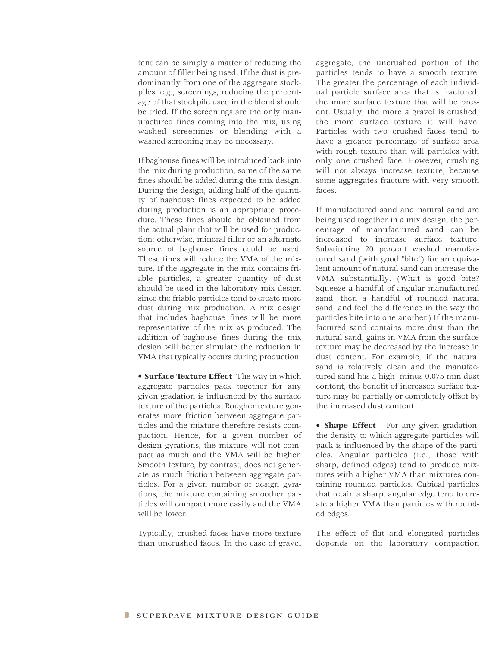tent can be simply a matter of reducing the amount of filler being used. If the dust is predominantly from one of the aggregate stockpiles, e.g., screenings, reducing the percentage of that stockpile used in the blend should be tried. If the screenings are the only manufactured fines coming into the mix, using washed screenings or blending with a washed screening may be necessary.

If baghouse fines will be introduced back into the mix during production, some of the same fines should be added during the mix design. During the design, adding half of the quantity of baghouse fines expected to be added during production is an appropriate procedure. These fines should be obtained from the actual plant that will be used for production; otherwise, mineral filler or an alternate source of baghouse fines could be used. These fines will reduce the VMA of the mixture. If the aggregate in the mix contains friable particles, a greater quantity of dust should be used in the laboratory mix design since the friable particles tend to create more dust during mix production. A mix design that includes baghouse fines will be more representative of the mix as produced. The addition of baghouse fines during the mix design will better simulate the reduction in VMA that typically occurs during production.

**• Surface Texture Effect** The way in which aggregate particles pack together for any given gradation is influenced by the surface texture of the particles. Rougher texture generates more friction between aggregate particles and the mixture therefore resists compaction. Hence, for a given number of design gyrations, the mixture will not compact as much and the VMA will be higher. Smooth texture, by contrast, does not generate as much friction between aggregate particles. For a given number of design gyrations, the mixture containing smoother particles will compact more easily and the VMA will be lower.

Typically, crushed faces have more texture than uncrushed faces. In the case of gravel

aggregate, the uncrushed portion of the particles tends to have a smooth texture. The greater the percentage of each individual particle surface area that is fractured, the more surface texture that will be present. Usually, the more a gravel is crushed, the more surface texture it will have. Particles with two crushed faces tend to have a greater percentage of surface area with rough texture than will particles with only one crushed face. However, crushing will not always increase texture, because some aggregates fracture with very smooth faces.

If manufactured sand and natural sand are being used together in a mix design, the percentage of manufactured sand can be increased to increase surface texture. Substituting 20 percent washed manufactured sand (with good "bite") for an equivalent amount of natural sand can increase the VMA substantially. (What is good bite? Squeeze a handful of angular manufactured sand, then a handful of rounded natural sand, and feel the difference in the way the particles bite into one another.) If the manufactured sand contains more dust than the natural sand, gains in VMA from the surface texture may be decreased by the increase in dust content. For example, if the natural sand is relatively clean and the manufactured sand has a high minus 0.075-mm dust content, the benefit of increased surface texture may be partially or completely offset by the increased dust content.

**• Shape Effect** For any given gradation, the density to which aggregate particles will pack is influenced by the shape of the particles. Angular particles (i.e., those with sharp, defined edges) tend to produce mixtures with a higher VMA than mixtures containing rounded particles. Cubical particles that retain a sharp, angular edge tend to create a higher VMA than particles with rounded edges.

The effect of flat and elongated particles depends on the laboratory compaction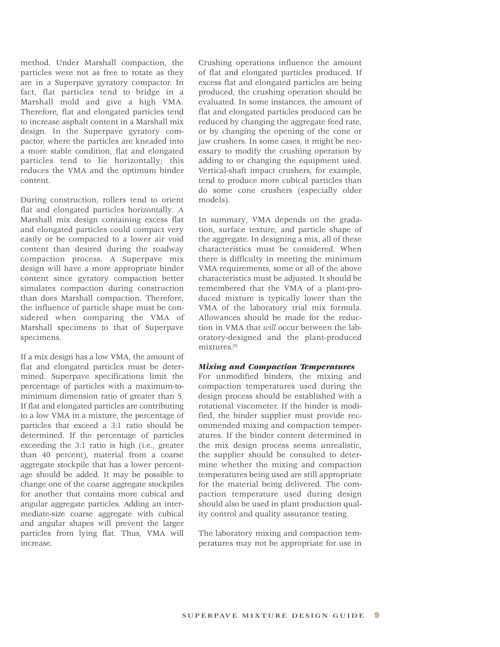method. Under Marshall compaction, the particles were not as free to rotate as they are in a Superpave gyratory compactor. In fact, flat particles tend to bridge in a Marshall mold and give a high VMA. Therefore, flat and elongated particles tend to increase asphalt content in a Marshall mix design. In the Superpave gyratory compactor, where the particles are kneaded into a more stable condition, flat and elongated particles tend to lie horizontally; this reduces the VMA and the optimum binder content.

During construction, rollers tend to orient flat and elongated particles horizontally. A Marshall mix design containing excess flat and elongated particles could compact very easily or be compacted to a lower air void content than desired during the roadway compaction process. A Superpave mix design will have a more appropriate binder content since gyratory compaction better simulates compaction during construction than does Marshall compaction. Therefore, the influence of particle shape must be considered when comparing the VMA of Marshall specimens to that of Superpave specimens.

If a mix design has a low VMA, the amount of flat and elongated particles must be determined. Superpave specifications limit the percentage of particles with a maximum-tominimum dimension ratio of greater than 5. If flat and elongated particles are contributing to a low VMA in a mixture, the percentage of particles that exceed a 3:1 ratio should be determined. If the percentage of particles exceeding the 3:1 ratio is high (i.e., greater than 40 percent), material from a coarse aggregate stockpile that has a lower percentage should be added. It may be possible to change one of the coarse aggregate stockpiles for another that contains more cubical and angular aggregate particles. Adding an intermediate-size coarse aggregate with cubical and angular shapes will prevent the larger particles from lying flat. Thus, VMA will increase.

Crushing operations influence the amount of flat and elongated particles produced. If excess flat and elongated particles are being produced, the crushing operation should be evaluated. In some instances, the amount of flat and elongated particles produced can be reduced by changing the aggregate feed rate, or by changing the opening of the cone or jaw crushers. In some cases, it might be necessary to modify the crushing operation by adding to or changing the equipment used. Vertical-shaft impact crushers, for example, tend to produce more cubical particles than do some cone crushers (especially older models).

In summary, VMA depends on the gradation, surface texture, and particle shape of the aggregate. In designing a mix, all of these characteristics must be considered. When there is difficulty in meeting the minimum VMA requirements, some or all of the above characteristics must be adjusted. It should be remembered that the VMA of a plant-produced mixture is typically lower than the VMA of the laboratory trial mix formula. Allowances should be made for the reduction in VMA that *will* occur between the laboratory-designed and the plant-produced mixtures. [9]

## *Mixing and Compaction Temperatures*

For unmodified binders, the mixing and compaction temperatures used during the design process should be established with a rotational viscometer. If the binder is modified, the binder supplier must provide recommended mixing and compaction temperatures. If the binder content determined in the mix design process seems unrealistic, the supplier should be consulted to determine whether the mixing and compaction temperatures being used are still appropriate for the material being delivered. The compaction temperature used during design should also be used in plant production quality control and quality assurance testing.

The laboratory mixing and compaction temperatures may not be appropriate for use in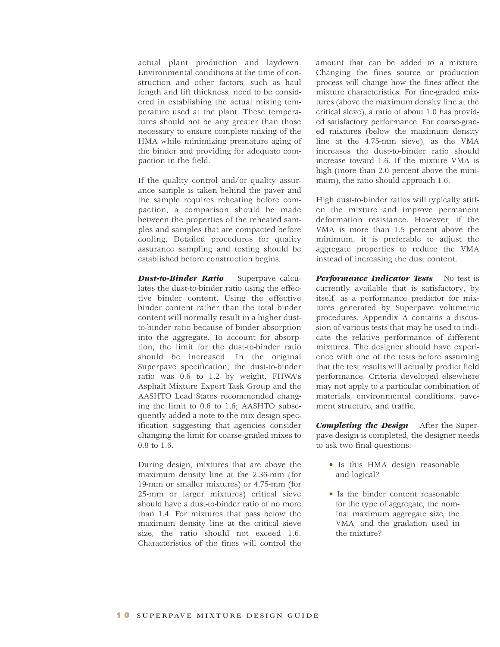actual plant production and laydown. Environmental conditions at the time of construction and other factors, such as haul length and lift thickness, need to be considered in establishing the actual mixing temperature used at the plant. These temperatures should not be any greater than those necessary to ensure complete mixing of the HMA while minimizing premature aging of the binder and providing for adequate compaction in the field.

If the quality control and/or quality assurance sample is taken behind the paver and the sample requires reheating before compaction, a comparison should be made between the properties of the reheated samples and samples that are compacted before cooling. Detailed procedures for quality assurance sampling and testing should be established before construction begins.

*Dust-to-Binder Ratio* Superpave calculates the dust-to-binder ratio using the effective binder content. Using the effective binder content rather than the total binder content will normally result in a higher dustto-binder ratio because of binder absorption into the aggregate. To account for absorption, the limit for the dust-to-binder ratio should be increased. In the original Superpave specification, the dust-to-binder ratio was 0.6 to 1.2 by weight. FHWA's Asphalt Mixture Expert Task Group and the AASHTO Lead States recommended changing the limit to 0.6 to 1.6; AASHTO subsequently added a note to the mix design specification suggesting that agencies consider changing the limit for coarse-graded mixes to 0.8 to 1.6.

During design, mixtures that are above the maximum density line at the 2.36-mm (for 19-mm or smaller mixtures) or 4.75-mm (for 25-mm or larger mixtures) critical sieve should have a dust-to-binder ratio of no more than 1.4. For mixtures that pass below the maximum density line at the critical sieve size, the ratio should not exceed 1.6. Characteristics of the fines will control the

amount that can be added to a mixture. Changing the fines source or production process will change how the fines affect the mixture characteristics. For fine-graded mixtures (above the maximum density line at the critical sieve), a ratio of about 1.0 has provided satisfactory performance. For coarse-graded mixtures (below the maximum density line at the 4.75-mm sieve), as the VMA increases the dust-to-binder ratio should increase toward 1.6. If the mixture VMA is high (more than 2.0 percent above the minimum), the ratio should approach 1.6.

High dust-to-binder ratios will typically stiffen the mixture and improve permanent deformation resistance. However, if the VMA is more than 1.5 percent above the minimum, it is preferable to adjust the aggregate properties to reduce the VMA instead of increasing the dust content.

*Performance Indicator Tests* No test is currently available that is satisfactory, by itself, as a performance predictor for mixtures generated by Superpave volumetric procedures. Appendix A contains a discussion of various tests that may be used to indicate the relative performance of different mixtures. The designer should have experience with one of the tests before assuming that the test results will actually predict field performance. Criteria developed elsewhere may not apply to a particular combination of materials, environmental conditions, pavement structure, and traffic.

*Completing the Design* After the Superpave design is completed, the designer needs to ask two final questions:

- **•** Is this HMA design reasonable and logical?
- **•** Is the binder content reasonable for the type of aggregate, the nominal maximum aggregate size, the VMA, and the gradation used in the mixture?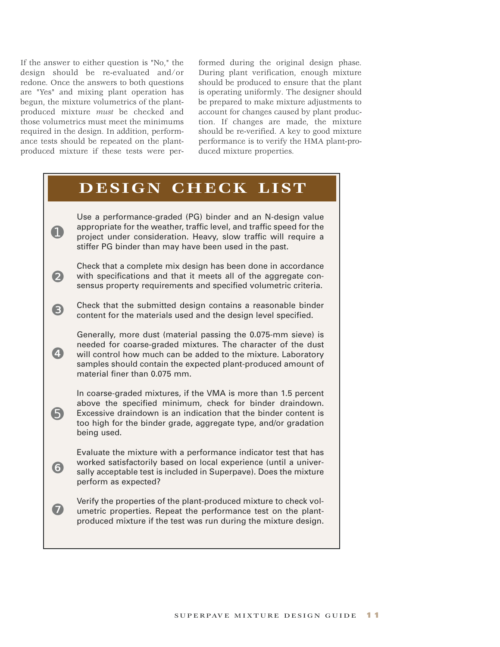If the answer to either question is "No," the design should be re-evaluated and/or redone. Once the answers to both questions are "Yes" and mixing plant operation has begun, the mixture volumetrics of the plantproduced mixture *must* be checked and those volumetrics must meet the minimums required in the design. In addition, performance tests should be repeated on the plantproduced mixture if these tests were performed during the original design phase. During plant verification, enough mixture should be produced to ensure that the plant is operating uniformly. The designer should be prepared to make mixture adjustments to account for changes caused by plant production. If changes are made, the mixture should be re-verified. A key to good mixture performance is to verify the HMA plant-produced mixture properties.

## **DESIGN CHECK LIST** Use a performance-graded (PG) binder and an N-design value appropriate for the weather, traffic level, and traffic speed for the project under consideration. Heavy, slow traffic will require a stiffer PG binder than may have been used in the past. Check that a complete mix design has been done in accordance with specifications and that it meets all of the aggregate consensus property requirements and specified volumetric criteria. Check that the submitted design contains a reasonable binder content for the materials used and the design level specified. Generally, more dust (material passing the 0.075-mm sieve) is needed for coarse-graded mixtures. The character of the dust will control how much can be added to the mixture. Laboratory samples should contain the expected plant-produced amount of material finer than 0.075 mm. In coarse-graded mixtures, if the VMA is more than 1.5 percent above the specified minimum, check for binder draindown. Excessive draindown is an indication that the binder content is too high for the binder grade, aggregate type, and/or gradation being used. Evaluate the mixture with a performance indicator test that has worked satisfactorily based on local experience (until a universally acceptable test is included in Superpave). Does the mixture perform as expected? Verify the properties of the plant-produced mixture to check volumetric properties. Repeat the performance test on the plantproduced mixture if the test was run during the mixture design. ➊ ❷ ❸ ❹ ➎ ❻ ❼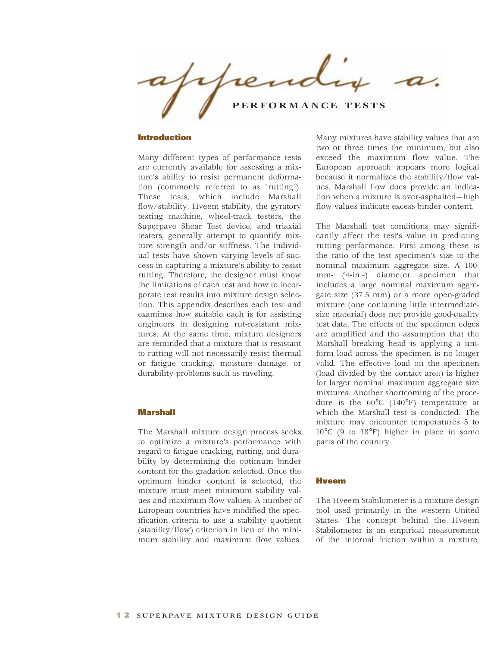$0.11$ **PERFORMANCE TESTS**

### **Introduction**

Many different types of performance tests are currently available for assessing a mixture's ability to resist permanent deformation (commonly referred to as "rutting"). These tests, which include Marshall flow/stability, Hveem stability, the gyratory testing machine, wheel-track testers, the Superpave Shear Test device, and triaxial testers, generally attempt to quantify mixture strength and/or stiffness. The individual tests have shown varying levels of success in capturing a mixture's ability to resist rutting. Therefore, the designer must know the limitations of each test and how to incorporate test results into mixture design selection. This appendix describes each test and examines how suitable each is for assisting engineers in designing rut-resistant mixtures. At the same time, mixture designers are reminded that a mixture that is resistant to rutting will not necessarily resist thermal or fatigue cracking, moisture damage, or durability problems such as raveling.

#### **Marshall**

The Marshall mixture design process seeks to optimize a mixture's performance with regard to fatigue cracking, rutting, and durability by determining the optimum binder content for the gradation selected. Once the optimum binder content is selected, the mixture must meet minimum stability values and maximum flow values. A number of European countries have modified the specification criteria to use a stability quotient (stability/flow) criterion in lieu of the minimum stability and maximum flow values.

Many mixtures have stability values that are two or three times the minimum, but also exceed the maximum flow value. The European approach appears more logical because it normalizes the stability/flow values. Marshall flow does provide an indication when a mixture is over-asphalted—high flow values indicate excess binder content.

The Marshall test conditions may significantly affect the test's value in predicting rutting performance. First among these is the ratio of the test specimen's size to the nominal maximum aggregate size. A 100 mm- (4-in.-) diameter specimen that includes a large nominal maximum aggregate size (37.5 mm) or a more open-graded mixture (one containing little intermediatesize material) does not provide good-quality test data. The effects of the specimen edges are amplified and the assumption that the Marshall breaking head is applying a uniform load across the specimen is no longer valid. The effective load on the specimen (load divided by the contact area) is higher for larger nominal maximum aggregate size mixtures. Another shortcoming of the procedure is the 60°C (140°F) temperature at which the Marshall test is conducted. The mixture may encounter temperatures 5 to 10°C (9 to 18°F) higher in place in some parts of the country.

## **Hveem**

The Hveem Stabilometer is a mixture design tool used primarily in the western United States. The concept behind the Hveem Stabilometer is an empirical measurement of the internal friction within a mixture,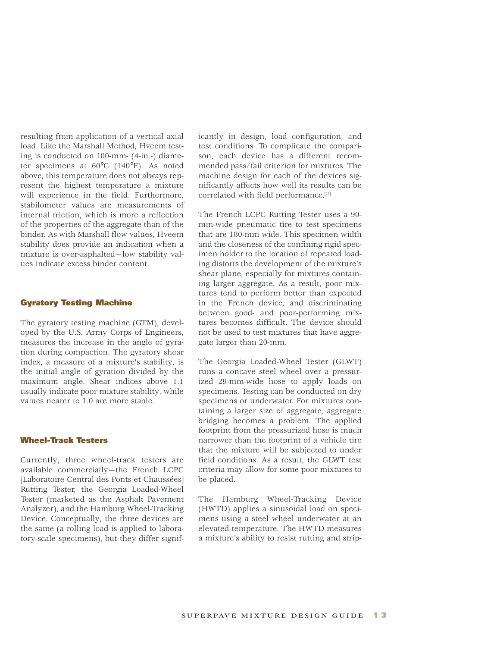resulting from application of a vertical axial load. Like the Marshall Method, Hveem testing is conducted on 100-mm- (4-in.-) diameter specimens at 60°C (140°F). As noted above, this temperature does not always represent the highest temperature a mixture will experience in the field. Furthermore, stabilometer values are measurements of internal friction, which is more a reflection of the properties of the aggregate than of the binder. As with Marshall flow values, Hveem stability does provide an indication when a mixture is over-asphalted—low stability values indicate excess binder content.

## **Gyratory Testing Machine**

The gyratory testing machine (GTM), developed by the U.S. Army Corps of Engineers, measures the increase in the angle of gyration during compaction. The gyratory shear index, a measure of a mixture's stability, is the initial angle of gyration divided by the maximum angle. Shear indices above 1.1 usually indicate poor mixture stability, while values nearer to 1.0 are more stable.

## **Wheel-Track Testers**

Currently, three wheel-track testers are available commercially—the French LCPC [Laboratoire Central des Ponts et Chaussées] Rutting Tester, the Georgia Loaded-Wheel Tester (marketed as the Asphalt Pavement Analyzer), and the Hamburg Wheel-Tracking Device. Conceptually, the three devices are the same (a rolling load is applied to laboratory-scale specimens), but they differ signif-

icantly in design, load configuration, and test conditions. To complicate the comparison, each device has a different recommended pass/fail criterion for mixtures. The machine design for each of the devices significantly affects how well its results can be correlated with field performance.<sup>[11]</sup>

The French LCPC Rutting Tester uses a 90 mm-wide pneumatic tire to test specimens that are 180-mm wide. This specimen width and the closeness of the confining rigid specimen holder to the location of repeated loading distorts the development of the mixture's shear plane, especially for mixtures containing larger aggregate. As a result, poor mixtures tend to perform better than expected in the French device, and discriminating between good- and poor-performing mixtures becomes difficult. The device should not be used to test mixtures that have aggregate larger than 20-mm.

The Georgia Loaded-Wheel Tester (GLWT) runs a concave steel wheel over a pressurized 29-mm-wide hose to apply loads on specimens. Testing can be conducted on dry specimens or underwater. For mixtures containing a larger size of aggregate, aggregate bridging becomes a problem. The applied footprint from the pressurized hose is much narrower than the footprint of a vehicle tire that the mixture will be subjected to under field conditions. As a result, the GLWT test criteria may allow for some poor mixtures to be placed.

The Hamburg Wheel-Tracking Device (HWTD) applies a sinusoidal load on specimens using a steel wheel underwater at an elevated temperature. The HWTD measures a mixture's ability to resist rutting and strip-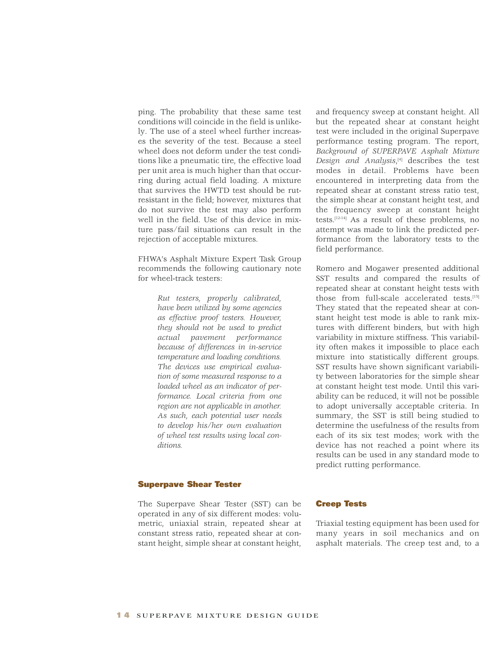ping. The probability that these same test conditions will coincide in the field is unlikely. The use of a steel wheel further increases the severity of the test. Because a steel wheel does not deform under the test conditions like a pneumatic tire, the effective load per unit area is much higher than that occurring during actual field loading. A mixture that survives the HWTD test should be rutresistant in the field; however, mixtures that do not survive the test may also perform well in the field. Use of this device in mixture pass/fail situations can result in the rejection of acceptable mixtures.

FHWA's Asphalt Mixture Expert Task Group recommends the following cautionary note for wheel-track testers:

> *Rut testers, properly calibrated, have been utilized by some agencies as effective proof testers. However, they should not be used to predict actual pavement performance because of differences in in-service temperature and loading conditions. The devices use empirical evaluation of some measured response to a loaded wheel as an indicator of performance. Local criteria from one region are not applicable in another. As such, each potential user needs to develop his/her own evaluation of wheel test results using local conditions.*

## **Superpave Shear Tester**

The Superpave Shear Tester (SST) can be operated in any of six different modes: volumetric, uniaxial strain, repeated shear at constant stress ratio, repeated shear at constant height, simple shear at constant height,

and frequency sweep at constant height. All but the repeated shear at constant height test were included in the original Superpave performance testing program. The report, *Background of SUPERPAVE Asphalt Mixture Design and Analysis*, [4] describes the test modes in detail. Problems have been encountered in interpreting data from the repeated shear at constant stress ratio test, the simple shear at constant height test, and the frequency sweep at constant height tests. [12-14] As a result of these problems, no attempt was made to link the predicted performance from the laboratory tests to the field performance.

Romero and Mogawer presented additional SST results and compared the results of repeated shear at constant height tests with those from full-scale accelerated tests. [15] They stated that the repeated shear at constant height test mode is able to rank mixtures with different binders, but with high variability in mixture stiffness. This variability often makes it impossible to place each mixture into statistically different groups. SST results have shown significant variability between laboratories for the simple shear at constant height test mode. Until this variability can be reduced, it will not be possible to adopt universally acceptable criteria. In summary, the SST is still being studied to determine the usefulness of the results from each of its six test modes; work with the device has not reached a point where its results can be used in any standard mode to predict rutting performance.

### **Creep Tests**

Triaxial testing equipment has been used for many years in soil mechanics and on asphalt materials. The creep test and, to a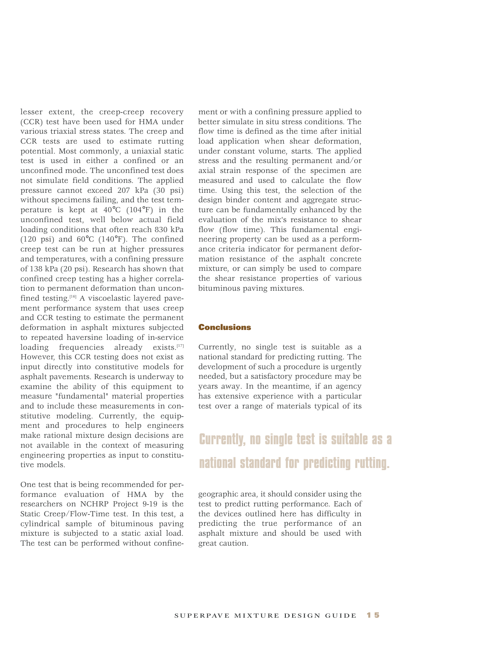lesser extent, the creep-creep recovery (CCR) test have been used for HMA under various triaxial stress states. The creep and CCR tests are used to estimate rutting potential. Most commonly, a uniaxial static test is used in either a confined or an unconfined mode. The unconfined test does not simulate field conditions. The applied pressure cannot exceed 207 kPa (30 psi) without specimens failing, and the test temperature is kept at 40°C (104°F) in the unconfined test, well below actual field loading conditions that often reach 830 kPa (120 psi) and  $60^{\circ}$ C (140 $^{\circ}$ F). The confined creep test can be run at higher pressures and temperatures, with a confining pressure of 138 kPa (20 psi). Research has shown that confined creep testing has a higher correlation to permanent deformation than unconfined testing. $[16]$  A viscoelastic layered pavement performance system that uses creep and CCR testing to estimate the permanent deformation in asphalt mixtures subjected to repeated haversine loading of in-service loading frequencies already exists.[17] However, this CCR testing does not exist as input directly into constitutive models for asphalt pavements. Research is underway to examine the ability of this equipment to measure "fundamental" material properties and to include these measurements in constitutive modeling. Currently, the equipment and procedures to help engineers make rational mixture design decisions are not available in the context of measuring engineering properties as input to constitutive models.

One test that is being recommended for performance evaluation of HMA by the researchers on NCHRP Project 9-19 is the Static Creep/Flow-Time test. In this test, a cylindrical sample of bituminous paving mixture is subjected to a static axial load. The test can be performed without confine-

ment or with a confining pressure applied to better simulate in situ stress conditions. The flow time is defined as the time after initial load application when shear deformation, under constant volume, starts. The applied stress and the resulting permanent and/or axial strain response of the specimen are measured and used to calculate the flow time. Using this test, the selection of the design binder content and aggregate structure can be fundamentally enhanced by the evaluation of the mix's resistance to shear flow (flow time). This fundamental engineering property can be used as a performance criteria indicator for permanent deformation resistance of the asphalt concrete mixture, or can simply be used to compare the shear resistance properties of various bituminous paving mixtures.

## **Conclusions**

Currently, no single test is suitable as a national standard for predicting rutting. The development of such a procedure is urgently needed, but a satisfactory procedure may be years away. In the meantime, if an agency has extensive experience with a particular test over a range of materials typical of its

# **Currently, no single test is suitable as a national standard for predicting rutting.**

geographic area, it should consider using the test to predict rutting performance. Each of the devices outlined here has difficulty in predicting the true performance of an asphalt mixture and should be used with great caution.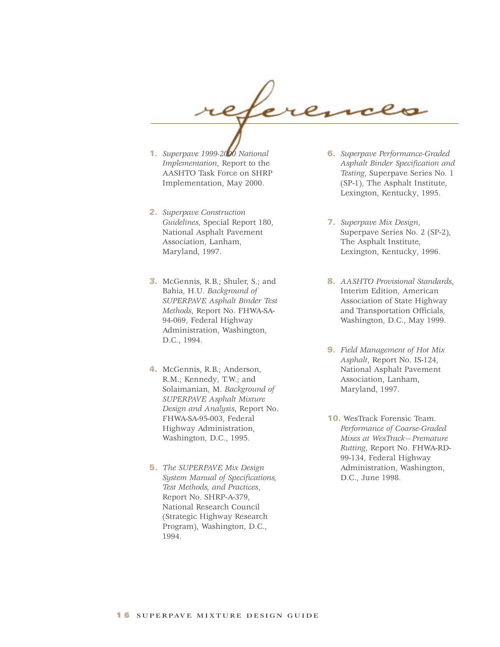

- **1.** *Superpave 1999-2000 National Implementation*, Report to the AASHTO Task Force on SHRP Implementation, May 2000.
- **2.** *Superpave Construction Guidelines*, Special Report 180, National Asphalt Pavement Association, Lanham, Maryland, 1997.
- **3.** McGennis, R.B.; Shuler, S.; and Bahia, H.U. *Background of SUPERPAVE Asphalt Binder Test Methods*, Report No. FHWA-SA-94-069, Federal Highway Administration, Washington, D.C., 1994.
- **4.** McGennis, R.B.; Anderson, R.M.; Kennedy, T.W.; and Solaimanian, M. *Background of SUPERPAVE Asphalt Mixture Design and Analysis*, Report No. FHWA-SA-95-003, Federal Highway Administration, Washington, D.C., 1995.
- **5.** *The SUPERPAVE Mix Design System Manual of Specifications, Test Methods, and Practices*, Report No. SHRP-A-379, National Research Council (Strategic Highway Research Program), Washington, D.C., 1994.
- **6.** *Superpave Performance-Graded Asphalt Binder Specification and Testing*, Superpave Series No. 1 (SP-1), The Asphalt Institute, Lexington, Kentucky, 1995.
- **7.** *Superpave Mix Design*, Superpave Series No. 2 (SP-2), The Asphalt Institute, Lexington, Kentucky, 1996.
- **8.** *AASHTO Provisional Standards*, Interim Edition, American Association of State Highway and Transportation Officials, Washington, D.C., May 1999.
- **9.** *Field Management of Hot Mix Asphalt*, Report No. IS-124, National Asphalt Pavement Association, Lanham, Maryland, 1997.
- **10.** WesTrack Forensic Team. *Performance of Coarse-Graded Mixes at WesTrack—Premature Rutting*, Report No. FHWA-RD-99-134, Federal Highway Administration, Washington, D.C., June 1998.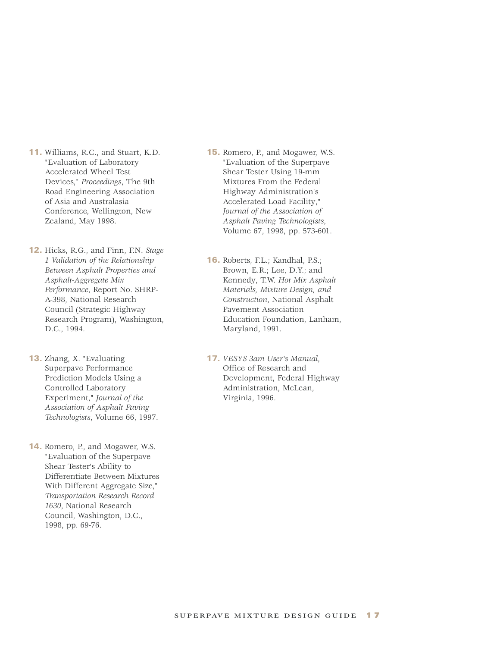- **11.** Williams, R.C., and Stuart, K.D. "Evaluation of Laboratory Accelerated Wheel Test Devices," *Proceedings*, The 9th Road Engineering Association of Asia and Australasia Conference, Wellington, New Zealand, May 1998.
- **12.** Hicks, R.G., and Finn, F.N. *Stage 1 Validation of the Relationship Between Asphalt Properties and Asphalt-Aggregate Mix Performance*, Report No. SHRP-A-398, National Research Council (Strategic Highway Research Program), Washington, D.C., 1994.
- **13.** Zhang, X. "Evaluating Superpave Performance Prediction Models Using a Controlled Laboratory Experiment," *Journal of the Association of Asphalt Paving Technologists*, Volume 66, 1997.
- **14.** Romero, P., and Mogawer, W.S. "Evaluation of the Superpave Shear Tester's Ability to Differentiate Between Mixtures With Different Aggregate Size," *Transportation Research Record 1630*, National Research Council, Washington, D.C., 1998, pp. 69-76.
- **15.** Romero, P., and Mogawer, W.S. "Evaluation of the Superpave Shear Tester Using 19-mm Mixtures From the Federal Highway Administration's Accelerated Load Facility," *Journal of the Association of Asphalt Paving Technologists*, Volume 67, 1998, pp. 573-601.
- **16.** Roberts, F.L.; Kandhal, P.S.; Brown, E.R.; Lee, D.Y.; and Kennedy, T.W. *Hot Mix Asphalt Materials, Mixture Design, and Construction*, National Asphalt Pavement Association Education Foundation, Lanham, Maryland, 1991.
- **17.** *VESYS 3am User's Manual*, Office of Research and Development, Federal Highway Administration, McLean, Virginia, 1996.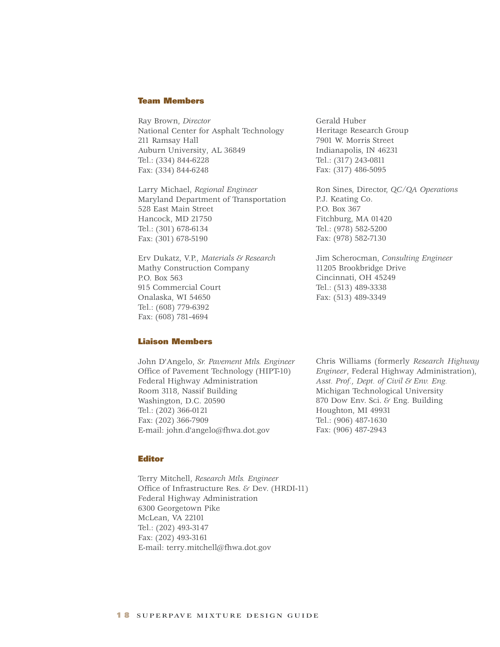#### **Team Members**

Ray Brown, *Director* National Center for Asphalt Technology 211 Ramsay Hall Auburn University, AL 36849 Tel.: (334) 844-6228 Fax: (334) 844-6248

Larry Michael, *Regional Engineer* Maryland Department of Transportation 528 East Main Street Hancock, MD 21750 Tel.: (301) 678-6134 Fax: (301) 678-5190

Erv Dukatz, V.P., *Materials & Research* Mathy Construction Company P.O. Box 563 915 Commercial Court Onalaska, WI 54650 Tel.: (608) 779-6392 Fax: (608) 781-4694

## **Liaison Members**

John D'Angelo, *Sr. Pavement Mtls. Engineer*  Office of Pavement Technology (HIPT-10) Federal Highway Administration Room 3118, Nassif Building Washington, D.C. 20590 Tel.: (202) 366-0121 Fax: (202) 366-7909 E-mail: john.d'angelo@fhwa.dot.gov

Gerald Huber Heritage Research Group 7901 W. Morris Street Indianapolis, IN 46231 Tel.: (317) 243-0811 Fax: (317) 486-5095

Ron Sines, Director, *QC/QA Operations* P.J. Keating Co. P.O. Box 367 Fitchburg, MA 01420 Tel.: (978) 582-5200 Fax: (978) 582-7130

Jim Scherocman, *Consulting Engineer* 11205 Brookbridge Drive Cincinnati, OH 45249 Tel.: (513) 489-3338 Fax: (513) 489-3349

Chris Williams (formerly *Research Highway Engineer*, Federal Highway Administration), *Asst. Prof., Dept. of Civil & Env. Eng.* Michigan Technological University 870 Dow Env. Sci. & Eng. Building Houghton, MI 49931 Tel.: (906) 487-1630 Fax: (906) 487-2943

#### **Editor**

Terry Mitchell, *Research Mtls. Engineer* Office of Infrastructure Res. & Dev. (HRDI-11) Federal Highway Administration 6300 Georgetown Pike McLean, VA 22101 Tel.: (202) 493-3147 Fax: (202) 493-3161 E-mail: terry.mitchell@fhwa.dot.gov